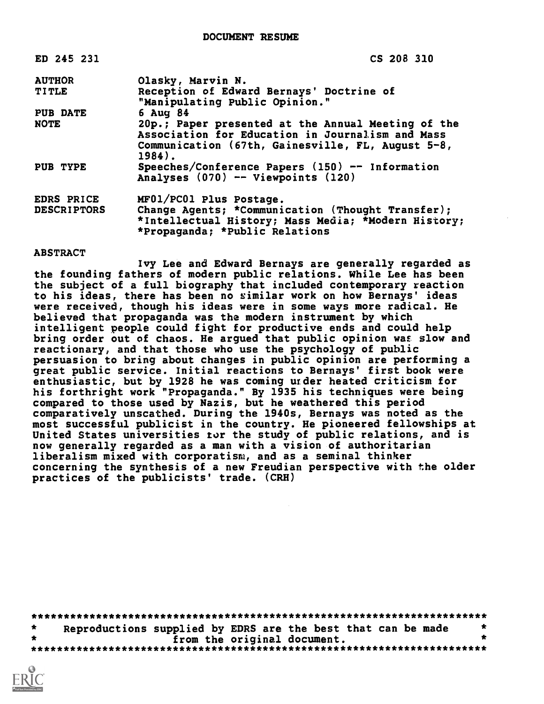| ED 245 231                       | CS 208 310                                                                                                                                                              |
|----------------------------------|-------------------------------------------------------------------------------------------------------------------------------------------------------------------------|
| <b>AUTHOR</b>                    | Olasky, Marvin N.                                                                                                                                                       |
| <b>TITLE</b>                     | Reception of Edward Bernays' Doctrine of<br>"Manipulating Public Opinion."                                                                                              |
| PUB DATE                         | $6$ Aug $84$                                                                                                                                                            |
| <b>NOTE</b>                      | 20p.; Paper presented at the Annual Meeting of the<br>Association for Education in Journalism and Mass<br>Communication (67th, Gainesville, FL, August 5-8,<br>$1984$ . |
| PUB TYPE                         | Speeches/Conference Papers $(150)$ -- Information<br>Analyses (070) -- Viewpoints (120)                                                                                 |
| EDRS PRICE<br><b>DESCRIPTORS</b> | MF01/PC01 Plus Postage.<br>Change Agents; *Communication (Thought Transfer);<br>*Intellectual History; Mass Media; *Modern History;<br>*Propaganda; *Public Relations   |

## ABSTRACT

Ivy Lee and Edward Bernays are generally regarded as the founding fathers of modern public relations. While Lee has been the subject of a full biography that included contemporary reaction to his ideas, there has been no similar work on how Bernays' ideas were received, though his ideas were in some ways more radical. He believed that propaganda was the modern instrument by which intelligent people could fight for productive ends and could help bring order out of chaos. He argued that public opinion was slow and reactionary, and that those who use the psychology of public persuasion to bring about changes in public opinion are performing a great public service. Initial reactions to Bernays' first book were enthusiastic, but by 1928 he was coming urder heated criticism for his forthright work "Propaganda." By 1935 his techniques were being compared to those used by Nazis, but he weathered this period comparatively unscathed. During the 1940s, Bernays was noted as the most successful publicist in the country. He pioneered fellowships at United States universities for the study of public relations, and is now generally regarded as a man with a vision of authoritarian liberalism mixed with corporatism, and as a seminal thinker concerning the synthesis of a new Freudian perspective with the older practices of the publicists' trade. (CRH)

| $\star$ | Reproductions supplied by EDRS are the best that can be made |  |  |                             |  |  |  |  |
|---------|--------------------------------------------------------------|--|--|-----------------------------|--|--|--|--|
|         |                                                              |  |  | from the original document. |  |  |  |  |
|         |                                                              |  |  |                             |  |  |  |  |

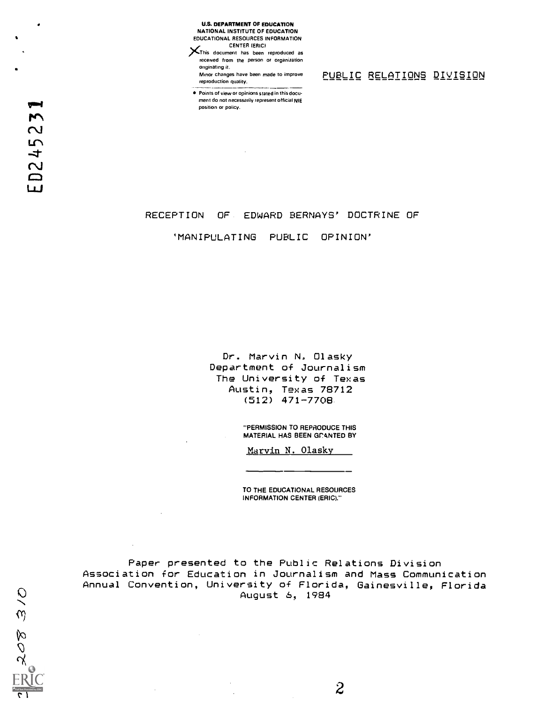U.S. DEPARTMENT OF EDUCATION NATIONAL INSTITUTE OF EDUCATION EDUCATIONAL RESOURCES INFORMATION CENTER (ERIC) XThis document has been reproduced as

received from the person or organization originating it. Minor changes have been made to improve

reproduction quality.

Points of view or opinions stated in this document do not necessarily represent official NIE rneut do not necessary and the control of the control of the control of the control of the control of the control of the control of the control of the control of the control of the control of the control of the control of

PUBLIC RELATIONS DIVISION

 $\epsilon$ 

## RECEPTION OF EDWARD BERNAYS' DOCTRINE OF

`MANIPULATING PUBLIC OPINION'

Dr. Marvin N. Olasky Department of Journalism The University of Texas Austin, Texas 78712 (512) 471-7708.

> "PERMISSION TO REPRODUCE THIS MATERIAL HAS BEEN GRANTED BY

Marvin N. Olasky

TO THE EDUCATIONAL RESOURCES INFORMATION CENTER (ERIC)."

Paper presented to the Public Relations Division Association for Education in Journalism and Mass Communication Annual Convention, University of Florida, Gainesville, Florida August 6, 1984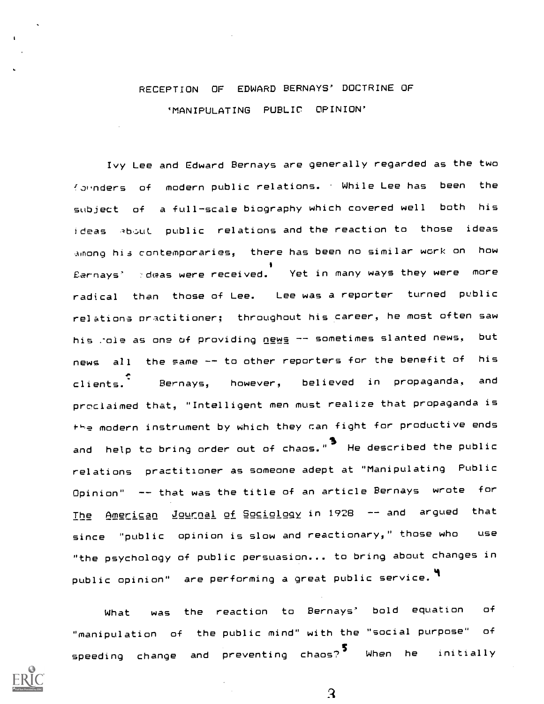## RECEPTION OF EDWARD BERNAYS' DOCTRINE OF `MANIPULATING PUBLIC OPINION'

Ivy Lee and Edward Bernays are generally regarded as the two -fot.nders of modern public relations. While Lee has been the subject of a full-scale biography which covered well both his ideas about public relations and the reaction to those ideas \_Among hi contemporaries, there has been no similar work on how Earnays' thaas were received. Yet in many ways they were more radical than those of Lee. Lee was a reporter turned public relations practitioner; throughout his career, he most often saw his .ole as one of providing news -- sometimes slanted news, but news all the same -- to other reporters for the benefit of his clients. Bernays, however, believed in propaganda, and proclaimed that, "Intelligent men must realize that propaganda is the modern instrument by which they can fight for productive ends and help to bring order out of chaos." He described the public relations practitioner as someone adept at "Manipulating Public Opinion" -- that was the title of an article Bernays wrote for The American Journal of Sociology in 1928 -- and argued that since "public opinion is slow and reactionary," those who use "the psychology of public persuasion... to bring about changes in public opinion" are performing a great public service. <sup>4</sup>

What was the reaction to Bernays' bold equation of "manipulation of the public mind" with the "social purpose" of speeding change and preventing chaos? $\overline{\phantom{a}}$  When he initially



 $\overline{A}$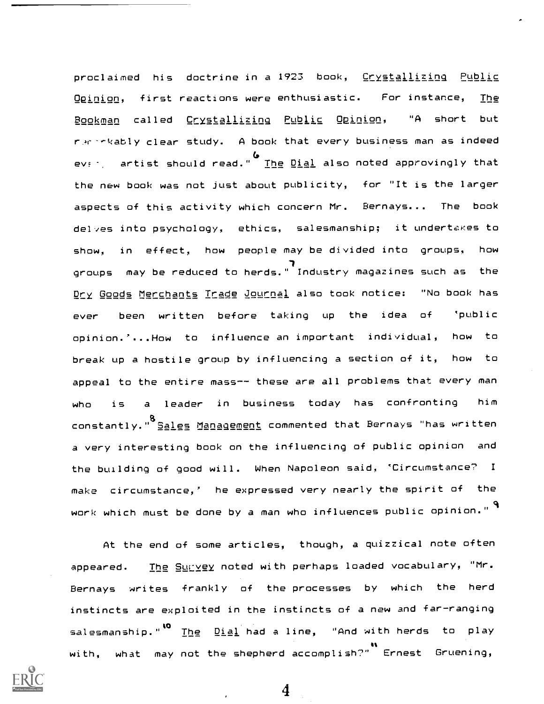proclaimed his doctrine in a 1923 book, Crystallizing Public Opinion, first reactions were enthusiastic. For instance, The Bookman called Crystallizing Public Opinion, "A short but  $r_{\rm eff}$  -rkably clear study. A book that every business man as indeed ever, artist should read." <u>The Dial</u> also noted approvingly that the new book was not just about publicity, for "It is the larger aspects of this activity which concern Mr. Bernays... The book delves into psychology, ethics, salesmanship; it undertakes to show, in effect, how people may be divided into groups, how groups may be reduced to herds." Industry magazines such as the Dry Goods Merchants Trade Journal also took notice: "No book has ever been written before taking up the idea of 'public opinion.'...How to influence an important individual, how to break up a hostile group by influencing a section of it, how to appeal to the entire mass-- these are all problems that every man who is <sup>a</sup> leader in business today has confronting him constantly."<sup>8</sup> S<u>ales</u> Ma<u>nagement</u> commented that Bernays "has written a very interesting book on the influencing of public opinion and the building of good will. When Napoleon said, 'Circumstance? <sup>I</sup> make circumstance,' he expressed very nearly the spirit of the work which must be done by a man who influences public opinion." <sup>4</sup>

At the end of some articles, though, a quizzical note often appeared. The Survey noted with perhaps loaded vocabulary, "Mr. Bernays writes frankly of the processes by which the herd instincts are exploited in the instincts of a new and far-ranging salesmanship." The Dial had a line, "And with herds to play with, what may not the shepherd accomplish?" Ernest Gruening,

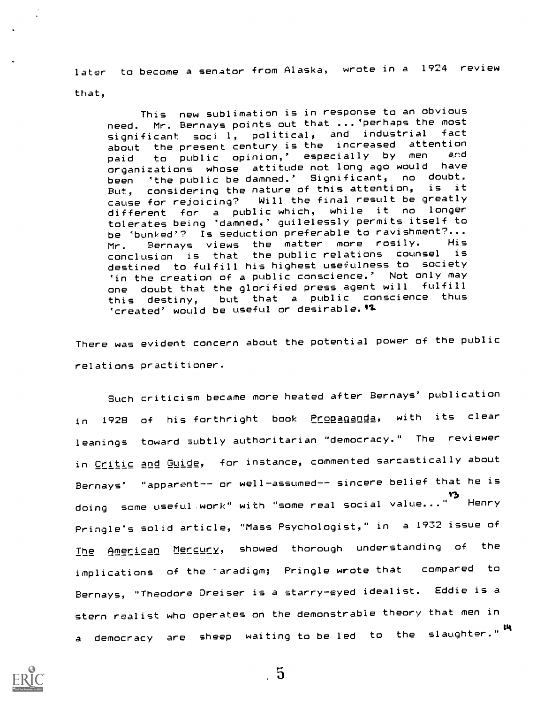later to become a senator from Alaska, wrote in a <sup>1924</sup> review that,

This new sublimation is in response to an obvious need. Mr. Bernays points out that ...'perhaps the most<br>cionificant, socily, political, and industrial fact significant soci  $l$ , political, and industrial about the present century is the increased attention<br>anidate public epicion ' especially by ment and paid to public opinion,' especially by men organizations whose attitude not long ago would have been 'the public be damned.' Significant, no doubt. But, considering the nature of this attention, is it<br>cause for rejoicing? Will the final result be greatly Will the final result be greatly different for <sup>a</sup> public which, while it no longer tolerates being 'damned,' guilelessly permits itself to be 'bunked'? Is seduction preferable to ravishment?...<br>Number of the matter more rosily. His Mr. Bernays views the matter more rosily. conclusion is that the public relations counsel is destined to fulfill his highest usefulness to society 'in the creation of a public conscience.' Not only may one doubt that the glorified press agent will fulfill this destiny, but that <sup>a</sup> public conscience thus  $"created"$  would be useful or desirable. $@$ 

There was evident concern about the potential power of the public relations practitioner.

Such criticism became more heated after Bernays' publication in <sup>1928</sup> of his forthright book Propaganda, with its clear leanings toward subtly authoritarian "democracy." The reviewer in Critic and Guide, for instance, commented sarcastically about Bernays' "apparent-- or well-assumed-- sincere belief that he is doing some useful work" with "some real social value..." Henry Pringle's solid article, "Mass Psychologist," in a 1932 issue of The American Mercury, showed thorough understanding of the implications of the aradigm; Pringle wrote that compared to Bernays, "Theodore Dreiser is a starry-eyed idealist. Eddie is a stern realist who operates on the demonstrable theory that men in <sup>a</sup> democracy are sheep waiting to be led to the slaughter."



 $\overline{5}$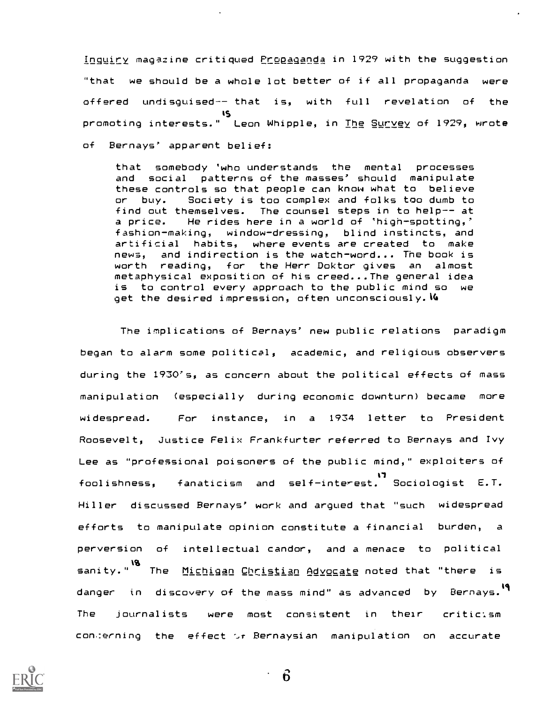Inguiry magazine critiqued Propaganda in 1929 with the suggestion "that we should be a whole lot better of if all propaganda were offered undisguised-- that is, with full revelation of the IS promoting interests." Leon Whipple, in The Survey of 1929, wrote

of Bernays' apparent belief:

that somebody 'who understands the mental processes and social patterns of the masses' should manipulate these controls so that people can know what to believe or buy. Society is too complex and folks too dumb to find out themselves. The counsel steps in to help-- at<br>a price. He rides here in a world of 'high-spotting,' He rides here in a world of 'high-spotting,' fashion-making, window-dressing, blind instincts, and artificial habits, where events are created to make news, and indirection is the watch-word... The book is worth reading, for the Herr Doktor gives an almost metaphysical exposition of his creed...The general idea is to control every approach to the public mind so we get the desired impression, often unconsciously. $\boldsymbol{\mathsf{W}}$ 

The implications of Bernays' new public relations paradigm began to alarm some political, academic, and religious observers during the 1930's, as concern about the political effects of mass manipulation (especially during economic downturn) became more widespread. For instance, in a 1934 letter to President Roosevelt, Justice Felix Frankfurter referred to Bernays and Ivy Lee as "professional poisoners of the public mind," exploiters of foolishness, fanaticism and self-inter"est. Sociologist E.T. Hiller discussed Bernays' work and argued that "such widespread efforts to manipulate opinion constitute a financial burden, a perversion of intellectual candor, and a menace to political la sanity." The Michigan Christian Advocate noted that "there is danger in discovery of the mass mind" as advanced by Bernays."9 The journalists were most consistent in their criticism conderning the effect or Bernaysian manipulation on accurate



 $6 \overline{6}$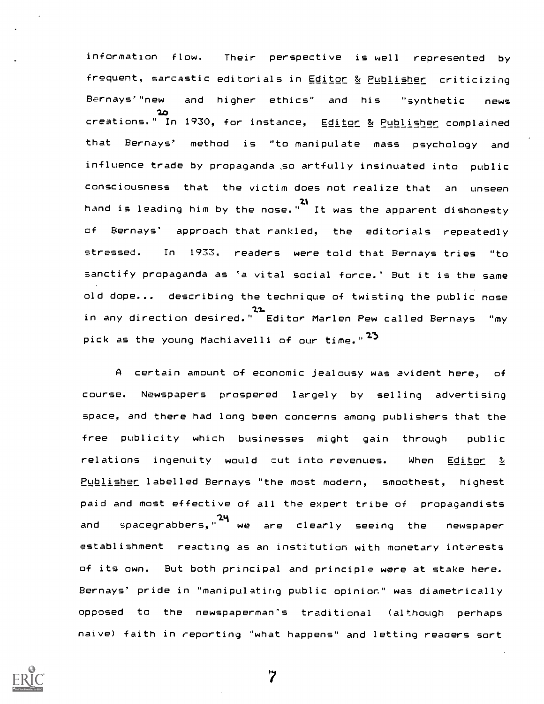information flow. Their perspective is well represented by frequent, sarcastic editorials in Editor & Publisher criticizing Bernays'"new and higher ethics" and his "synthetic news  $\frac{1}{20}$ creations." In 1930, for instance, Editor & Publisher complained that Bernays' method is "to manipulate mass psychology and influence trade by propaganda ,so artfully insinuated into public consciousness that the victim does not realize that an unseen 21 hand is leading him by the nose." It was the apparent dishonesty of Bernays' approach that rankled, the editorials repeatedly stressed. In 1933. readers were told that Bernays tries "to sanctify propaganda as 'a vital social force.' But it is the same old dope... describing the technique of twisting the public nose in any direction desired." Editor Marlen Pew called Bernays "my pick as the young Machiavelli of our time." $25$ 

A certain amount of economic jealousy was evident here, of course. Newspapers prospered largely by selling advertising space, and there had long been concerns among publishers that the free publicity which businesses might gain through public relations ingenuity would cut into revenues. When Editor & Publisher labelled Bernays "the most modern, smoothest, highest paid and most effective of all the expert tribe of propagandists and spacegrabbers," <sup>14</sup> we are clearly seeing the newspaper establishment reacting as an institution with monetary interests of its own. But both principal and principle were at stake here. Bernays' pride in "manipulating public opinion" was diametrically opposed to the newspaperman's traditional (although perhaps naive) faith in reporting "what happens" and letting reaaers sort

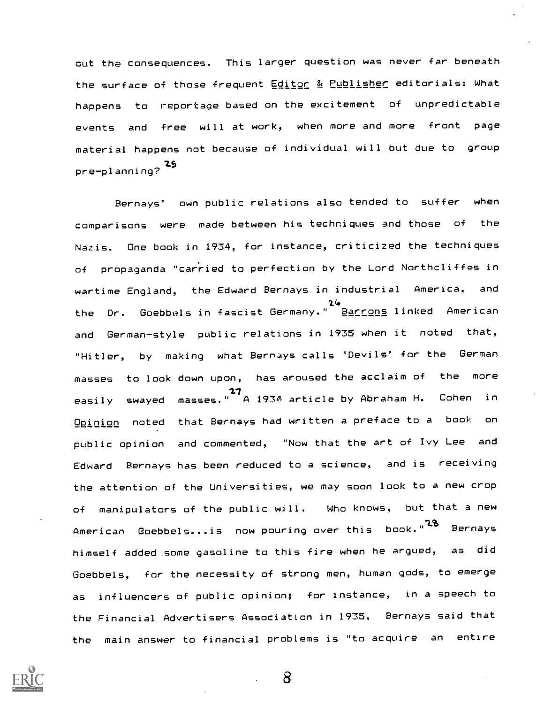out the consequences. This larger question was never far beneath the surface of those frequent Editor & Publisher editorials: What happens to reportage based on the excitement of unpredictable events and free will at work, when more and more front page material happens not because of individual will but due to group 25 pre-planning?

Bernays' own public relations also tended to suffer when comparisons were made between his techniques and those of the Nazis. One book in 1934, for instance, criticized the techniques of propaganda "carried to perfection by the Lord Northcliffes in wartime England, the Edward Bernays in industrial America, and V. the Dr. Goebbels in fascist Germany." Barrons linked American and German-style public relations in 1935 when it noted that, "Hitler, by making what Bernays calls 'Devils' for the German masses to look down upon, has aroused the acclaim of the more 27 easily swayed masses." A 1934 article by Abraham H. Cohen in Opinion noted that Bernays had written a preface to a book on public opinion and commented, "Now that the art of Ivy Lee and Edward Bernays has been reduced to a science, and is receiving the attention of the Universities, we may soon look to a new crop of manipulators of the public will. Who knows, but that a new American Goebbels...is now pouring over this book."<sup>78</sup> Bernays himself added some gasoline to this fire when he argued, as did Goebbels, for the necessity of strong men, human gods, to emerge as influencers of public opinion; for instance, in a speech to the Financial Advertisers Association in 1935, Bernays said that the main answer to financial problems is "to acquire an entire

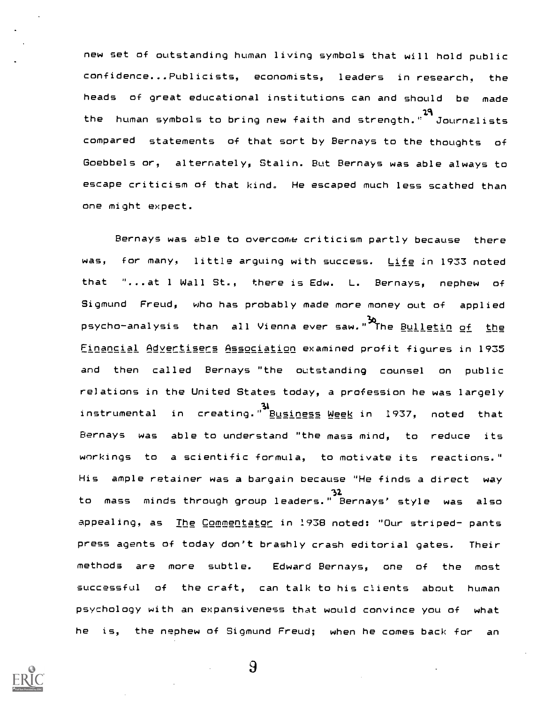new set of outstanding human living symbols that will hold public confidence...Publicists, economists, leaders in research, the heads of great educational institutions can and should be made the human symbols to bring new faith and strength." Journalists compared statements of that sort by Bernays to the thoughts of Goebbels or, alternately, Stalin. But Bernays was able always to escape criticism of that kind. He escaped much less scathed than one might expect.

Bernays was able to overcome criticism partly because there was, for many, little arguing with success. Life in 1933 noted that "...at <sup>1</sup> Wall St., there is Edw. L. Bernays, nephew of Sigmund Freud, who has probably made more money out of applied psycho-analysis than all Vienna ever saw."<sup>9</sup>The <u>Bulletin of the</u> Financial Advertisers Association examined profit figures in 1935 and then called Bernays "the outstanding counsel on public relations in the United States today, a profession he was largely <sup>11</sup> instrumental in creating." Business Week in 1937, noted that Bernays was able to understand "the mass mind, to reduce its workings to a scientific formula, to motivate its reactions." His ample retainer was a bargain because "He finds a direct way 11 to mass minds through group leaders." Bernays' style was also appealing, as <u>The Commentator</u> in 1938 noted: "Our striped- pants press agents of today don't brashly crash editorial gates. Their methods are more subtle. Edward Bernays, one of the most successful of the craft, can talk to his clients about human psychology with an expansiveness that would convince you of what he is, the nephew of Sigmund Freud; when he comes back for an



 $\overline{9}$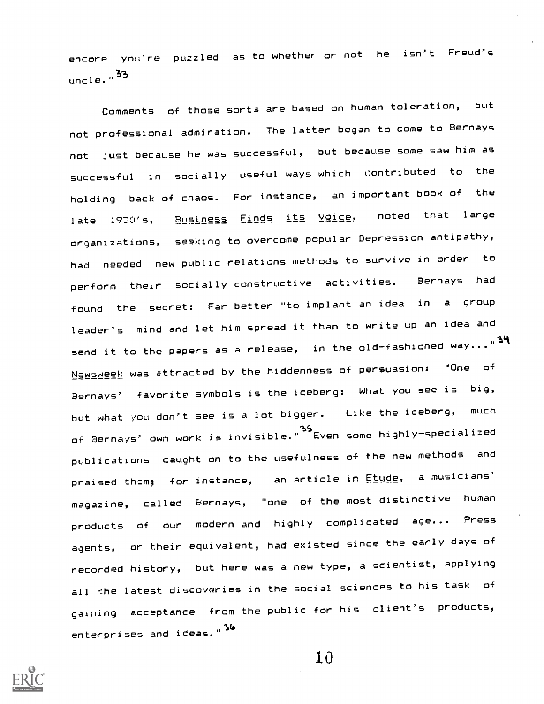encore you're puzzled as to whether or not he isn't Freud's uncle." $33$ 

Comments of those sorts are based on human toleration, but not professional admiration. The latter began to come to Bernays not just because he was successful, but because some saw him as successful in socially useful ways which contributed to the holding back of chaos. For instance, an important book of the late 1970's, Business Finds its Voice, noted that large organizations, seeking to overcome popular Depression antipathy, had needed new public relations methods to survive in order to perform their socially constructive activities. Bernays had found the secret: Far better "to implant an idea in <sup>a</sup> group leader's mind and let him spread it than to write up an idea and send it to the papers as a release, in the old-fashioned way..."34 Newsweek was attracted by the hiddenness of persuasion: "One of Bernays' favorite symbols is the iceberg: What you see is big, but what you don't see is a lot bigger. Like the iceberg, much of Bernays' own work is invisible." Also some highly-specialized publications caught on to the usefulness of the new methods and praised them; for instance, an article in Etude, a musicians' magazine, called Bernays, "one of the most distinctive human products of our modern and highly complicated age... Press agents, or their equivalent, had existed since the early days of recorded history, but here was a new type, a scientist, applying all the latest discoveries in the social sciences to his task of gaining acceptance from the public for his client's products, enterprises and ideas." <sup>36</sup>

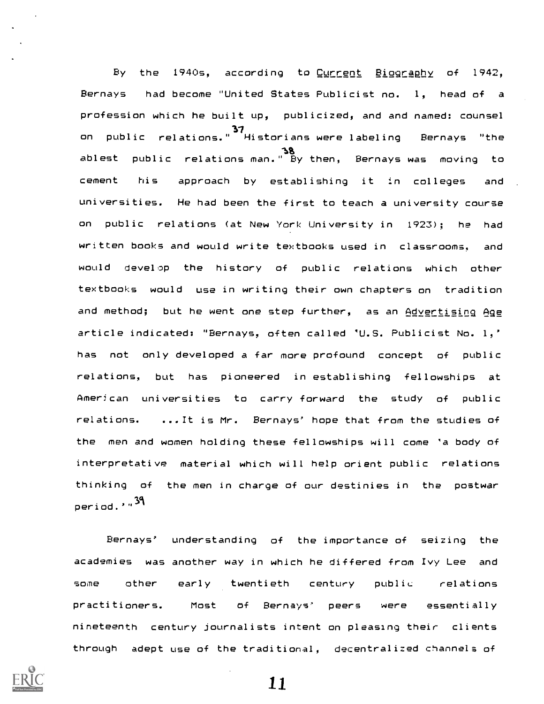By the 1940s, according to Current Biography of 1942, Bernays had become "United States Publicist no. 1, head of a profession which he built up, publicized, and and named: counsel 17 on public relations." Historians were labeling Bernays "the ablest public relations man." By then, Bernays was moving to cement his approach by establishing it in colleges and universities. He had been the first to teach a university course on public relations (at New York University in 1923); he had written books and would write textbooks used in classrooms, and would develop the history of public relations which other textbooks would use in writing their own chapters on tradition and method; but he went one step further, as an Advertising Age article indicated: "Bernays, often called 'U.S. Publicist No. 1,' has not only developed a far more profound concept of public relations, but has pioneered in establishing fellowships at American universities to carry forward the study of public relations. ...It is Mr. Bernays' hope that from the studies of the men and women holding these fellowships will come 'a body of interpretative material which will help orient public relations thinking of the men in charge of our destinies in the postwar period.'"<sup>39</sup>

Bernays' understanding of the importance of seizing the academies was another way in which he differed from Ivy Lee and some other early twentieth century public relations practitioners. Most of Bernays' peers were essentially nineteenth century journalists intent on pleasing their clients through adept use of the traditional, decentralized channels of

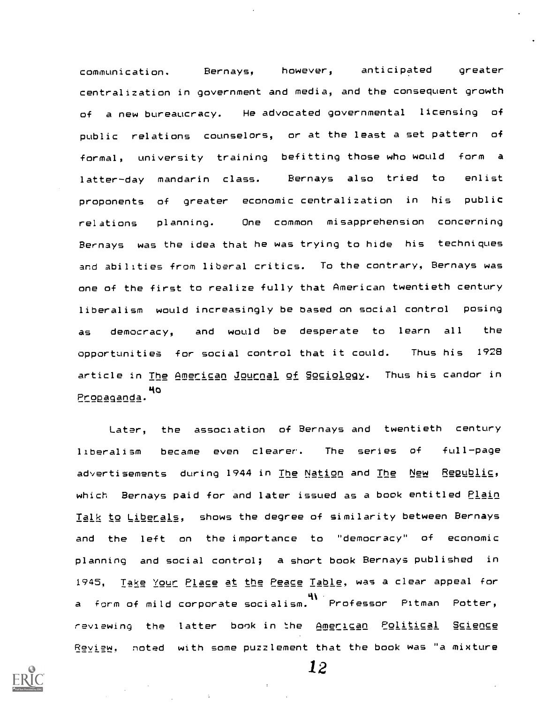communication. Bernays, however, anticipated greater centralization in government and media, and the consequent growth of a new bureaucracy. He advocated governmental licensing of public relations counselors, or at the least a set pattern of formal, university training befitting those who would form <sup>a</sup> latter-day mandarin class. Bernays also tried to enlist proponents of greater economic centralization in his public relations planning. One common misapprehension concerning Bernays was the idea that he was trying to hide his techniques and abilities from liberal critics. To the contrary, Bernays was one of the first to realize fully that American twentieth century liberalism would increasingly be based on social control posing as democracy, and would be desperate to learn all the opportunities for social control that it could. Thus his 1928 article in The American Journal of Sociology. Thus his candor in Progaganda. 40

Later, the association of Bernays and twentieth century liberalism became even clearer. The series of full-page advertisements during 1944 in The Nation and The New Regublic, which Bernays paid for and later issued as a book entitled Plain Talk to Liberals, shows the degree of similarity between Bernays and the left on the importance to "democracy" of economic planning and social control; a short book Bernays published in 1945, Take Your Place at the Peace Table, was a clear appeal for a form of mild corporate socialism. M Professor Pitman Potter, reviewing the latter book in the American Political Science Review, noted with some puzzlement that the book was "a mixture

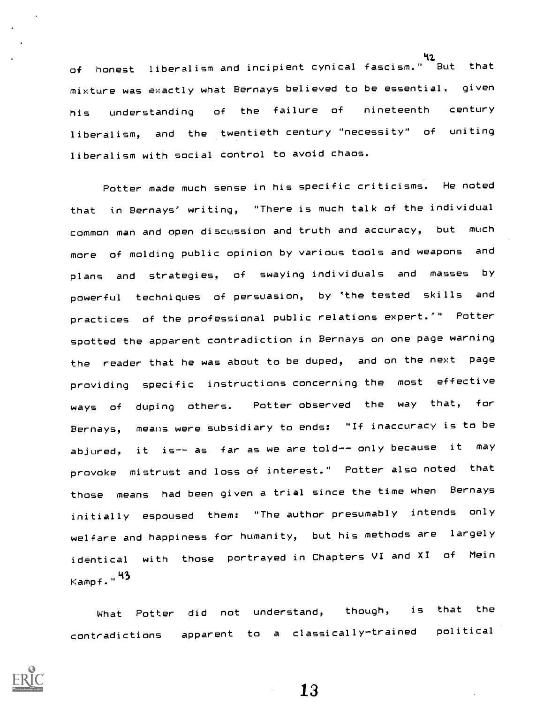of honest liberalism and incipient cynical fascism." But that mixture was exactly what Bernays believed to be essential, given his understanding of the failure of nineteenth century liberalism, and the twentieth century "necessity" of uniting liberalism with social control to avoid chaos.

Potter made much sense in his specific criticisms. He noted that in Bernays' writing, "There is much talk of the individual common man and open discussion and truth and accuracy, but much more of molding public opinion by various tools and weapons and plans and strategies, of swaying individuals and masses by powerful techniques of persuasion, by the tested skills and practices of the professional public relations expert.'" Potter spotted the apparent contradiction in Bernays on one page warning the reader that he was about to be duped, and on the next page providing specific instructions concerning the most effective ways of duping others. Potter observed the way that, for Bernays, means were subsidiary to ends: "If inaccuracy is to be abjured, it is-- as far as we are told-- only because it may provoke mistrust and loss of interest." Potter also noted that those means had been given a trial since the time when Bernays initially espoused them: "The author presumably intends only welfare and happiness for humanity, but his methods are largely identical with those portrayed in Chapters VI and XI of Mein Kampf." <sup>43</sup>

What Potter did not understand, though, is that the contradictions apparent to <sup>a</sup> classically-trained political

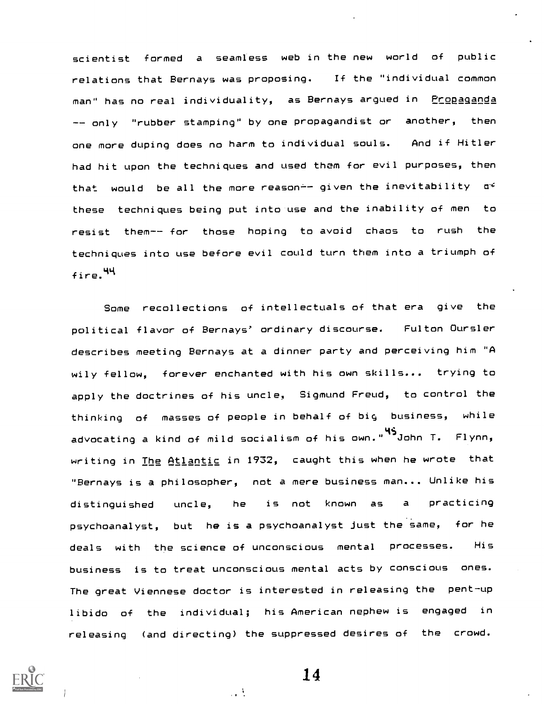scientist formed <sup>a</sup> seamless web in the new world of public relations that Bernays was proposing. If the "individual common man" has no real individuality, as Bernays argued in Propaganda -- only "rubber stamping" by one propagandist or another, then one more duping does no harm to individual souls. And if Hitler had hit upon the techniques and used them for evil purposes, then that would be all the more reason-- given the inevitability  $a^*$ these techniques being put into use and the inability of men to resist them-- for those hoping to avoid chaos to rush the techniques into use before evil could turn them into a triumph of fire.<sup>44</sup>

Some recollections of intellectuals of that era give the political flavor of Bernays' ordinary discourse. Fulton Oursler describes meeting Bernays at a dinner party and perceiving him "A wily fellow, forever enchanted with his own skills... trying to apply the doctrines of his uncle, Sigmund Freud, to control the thinking of masses of people in behalf of big business, while advocating a kind of mild socialism of his own." <sup>45</sup>John T. Flynn, writing in The Atlantic in 1932, caught this when he wrote that "Bernays is a philosopher, not a mere business man... Unlike his distinguished uncle, he is not known as <sup>a</sup> practicing psychoanalyst, but he is a psychoanalyst Just the same, for he deals with the science of unconscious mental processes. His business is to treat unconscious mental acts by conscious ones. The great Viennese doctor is interested in releasing the pent-up libido of the individual; his American nephew is engaged in releasing (and directing) the suppressed desires of the crowd.



14

 $\mathcal{L}$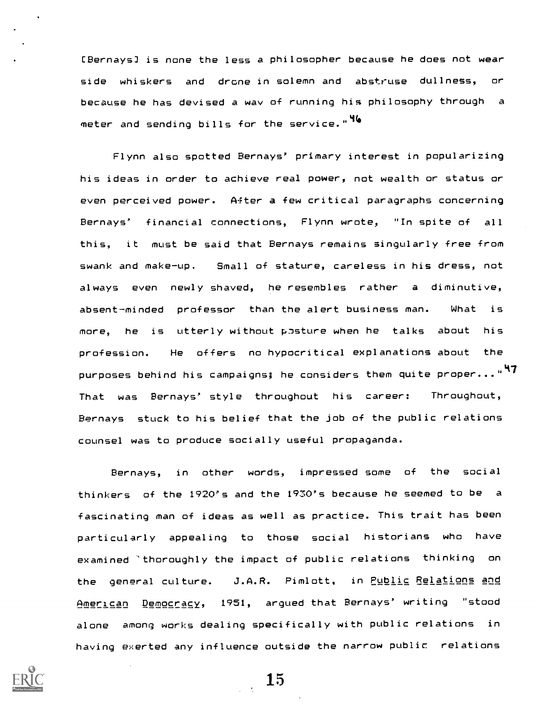CBernays] is none the less a philosopher because he does not wear side whiskers and drone in solemn and abstruse dullness, or because he has devised a wav of running his philosophy through a meter and sending bills for the service." 46

Flynn also spotted Bernays' primary interest in popularizing his ideas in order to achieve real power, not wealth or status or even perceived power. Ater a few critical paragraphs concerning Bernays' financial connections, Flynn wrote, "In spite of all this, it must be said that Bernays remains singularly free from swank and make-up. Small of stature, careless in his dress, not always even newly shaved, he resembles rather a diminutive, absent-minded professor than the alert business man. What is more, he is utterly without pasture when he talks about his profession. He offers no hypocritical explanations about the purposes behind his campaigns; he considers them quite proper..." <sup>47</sup> That was Bernays' style throughout his career: Throughout, Bernays stuck to his belief that the job of the public relations counsel was to produce socially useful propaganda.

Bernays, in other words, impressed some of the social thinkers of the 1920's and the 1930's because he seemed to be a fascinating man of ideas as well as practice. This trait has been particularly appealing to those social historians who have examined 'thoroughly the impact of public relations thinking on the general culture. J.A.R. Pimlott, in Public Relations and American Democracy, 1951, argued that Bernays' writing "stood alone among works dealing specifically with public relations in having exerted any influence outside the narrow public relations



 $\frac{15}{2}$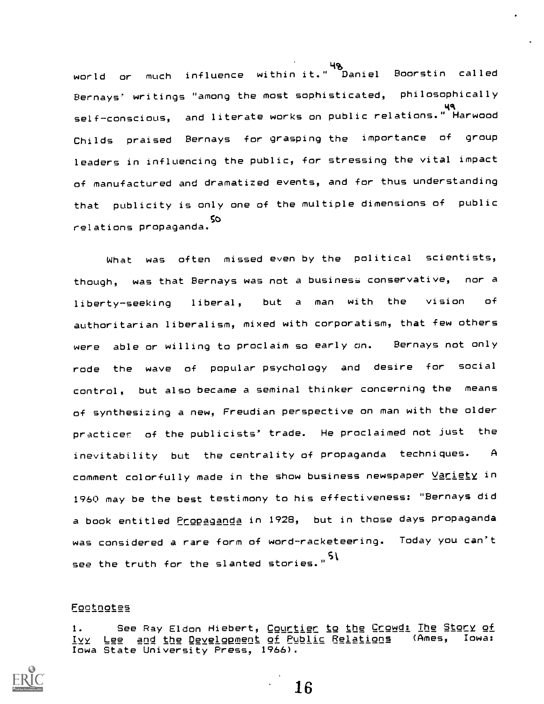4% world or much influence within it." Daniel Boorstin called Bernays' writings "among the most sophisticated, philosophically 44 self-conscious, and literate works on public relations." Harwood Childs praised Bernays for grasping the importance of group leaders in influencing the public, for stressing the vital impact of manufactured and dramatized events, and for thus understanding that publicity is only one of the multiple dimensions of public relations propaganda. S

What was often missed even by the political scientists, though, was that Bernays was not a business conservative, nor a liberty-seeking liberal, but <sup>a</sup> man with the vision of authoritarian liberalism, mixed with corporatism, that few others were able or willing to proclaim so early on. Bernays not only rode the wave of popular psychology and desire for social control, but also became a seminal thinker concerning the means of synthesizing a new, Freudian perspective on man with the older practicer of the publicists' trade. He proclaimed not just the inevitability but the centrality of propaganda techniques. A comment colorfully made in the show business newspaper  $Variety$  in</u> 1960 may be the best testimony to his effectiveness: "Bernays did a book entitled Propaganda in 1928, but in those days propaganda was considered a rare form of word-racketeering. Today you can't see the truth for the slanted stories."<sup>51</sup>

## Footnotes

1. See Ray Eldon Hiebert, Courtier to the Crowd: The Story of Ivy Lee and the Development of Public Relations (Ames, Iowa: Iowa State University Press, 1966).

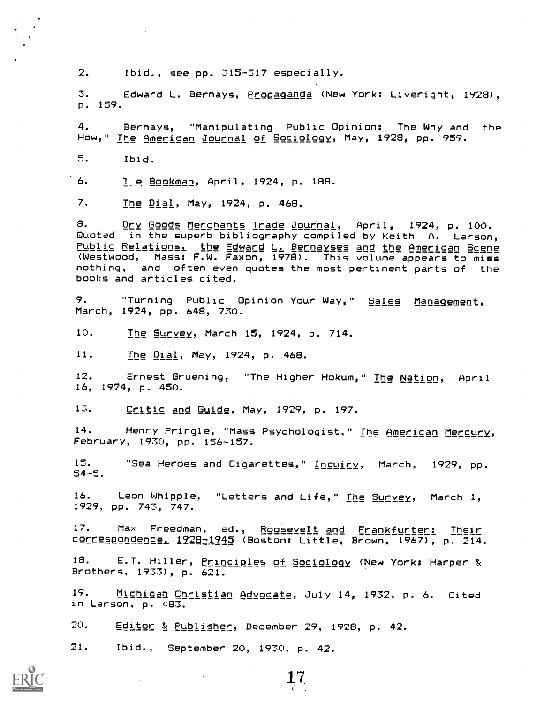$2.$ Ibid., see pp. 315-317 especially.

3. Edward L. Bernays, <u>Propaganda</u> (New York: Liveright, 1928), p. 159.

4. Bernays, "Manipulating Public Opinion: The Why and the How," The American Journal of Sociology, May, 1928, pp. 959.

5. Ibid.

6. 1.e Bookman, April, 1924, p. 188.

7, The Dial, May, 1924, p. 468.

8. Dry Goods Merchants Trade Journal, April, 1924, p. 100. Quoted in the superb bibliography compiled by Keith A. Larson, Public Relations, the Edward L. Bernayses and the American Scene (Westwood, Mass: F.W. Faxon, 1978). This volume appears to miss nothing, and often even quotes the most pertinent parts of the books and articles cited.

9. "Turning Public Opinion Your Way," Sales Management, March, 1924, pp. 648, 730.

10. The Survey, March 15, 1924, p. 714.

11. Ihe Dial, May, 1924, p. 468.

12. Ernest Gruening, "The Higher Hokum," <u>The Nation,</u> April 16, 1924, p. 450.

13. Critic and Guide, May, 1929, p. 197.

14. Henry Pringle, "Mass Psychologist," The American Mercury, February, 1930, pp. 156-157.

15. "Sea Heroes and Cigarettes," Inguiry, March, 1929, pp. 54-5.

16. Leon Whipple, "Letters and Life," The Survey, March 1, 1929, pp. 743, 747.

17. Max Freedman, ed., Roosevelt and Frankfurter: Their correspondence, 1928-1945 (Boston: Little, Brown, 1967), p. 214.

18. E.T. Hiller, Principles of Sociology (New York: Harper & Brothers, 1933), p. 621.

19. Michigan Christian Advocate, July 14, 1932, p. 6. Cited in Larson, p. 483.

20. Editor & Publisher, December 29, 1928, p. 42.

21. Ibid., September 20, 1930. p. 42.

 $\sim 10^{-11}$ 

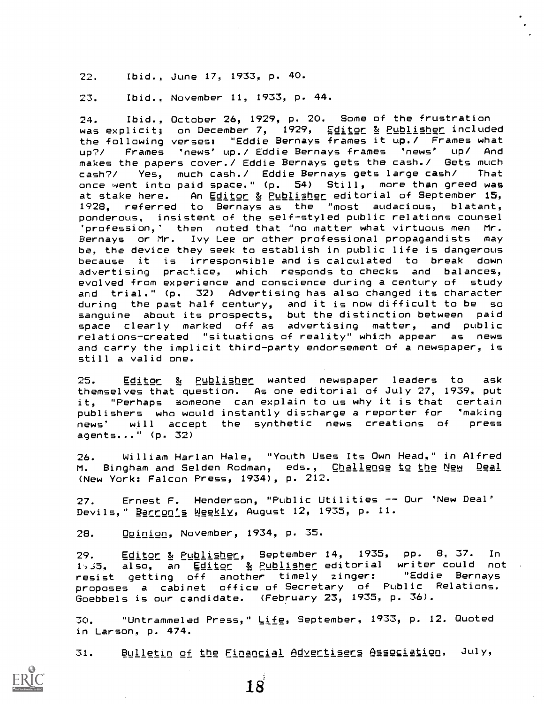Ibid., June 17, 1933, p. 40.  $22.$ 

23. Ibid., November 11, 1933, p. 44.

24. Ibid., October 26, 1929, p. 20. Some of the frustration was explicit; on December 7, 1929, Editor & Publisher included the following verses: "Eddie Bernays frames it up./ Frames what<br>up?/ Frames 'news' up./ Eddie Bernays frames 'news' up/ And up?/ Frames 'news' up./ Eddie Bernays frames 'news' makes the papers cover./ Eddie Bernays gets the cash./ Gets much cash?/ Yes, much cash./ Eddie Bernays gets large cash/ That once went into paid space." (p. 54) Still, more than greed was at stake here. An Editor & Publisher editorial of September 15, 1928, referred to Bernays as the "most audacious, blatant, ponderous, insistent of the self-styled public relations counsel 'profession,' then noted that "no matter what virtuous men Mr. Bernays or Mr. Ivy Lee or other professional propagandists may be, the device they seek to establish in public life is dangerous because it is irresponsible and is calculated to break down advertising practice, which responds to checks and balances, evolved from experience and conscience during a century of study and trial." (p. 32) Advertising has also changed its character during the past half century, and it is now difficult to be so sanguine about its prospects, but the distinction between paid space clearly marked off as advertising matter, and public relations-created "situations of reality" whir:h appear as news and carry the implicit third-party endorsement of a newspaper, is still a valid one.

25. Editor & Publisher wanted newspaper leaders to ask themselves that question. As one editorial of July 27. 1939, put it, "Perhaps someone can explain to us why it is that certain publishers who would instantly discharge a reporter for 'making news' will accept the synthetic news creations of press agents..." (p. 32)

26. William Harlan Hale, "Youth Uses Its Own Head," in Alfred M. Bingham and Belden Rodman, eds., Challenge to the New Deal (New York: Falcon Press, 1934), p. 212.

27. Ernest F. Henderson, "Public Utilities -- Our 'New Deal' Devils," Barron's Weekly, August 12, 1935, p. 11.

28. Opinion, November, 1934, p. 35.

29. Editor & Publisher, September 14, 1935, pp. 8, 37. In 1,5, also, an Editor & Publisher editorial writer could not resist getting off another timely zinger: "Eddie Bernays proposes <sup>a</sup> cabinet office of Secretary of Public Relations. Goebbels is our candidate. (February 23, 1935, p. 36).

30. "Untrammeled Press," Life, September, 1933, p. 12. Quoted in Larson, p. 474.

31. Bulletin of the Financial Advertisers Association, July,

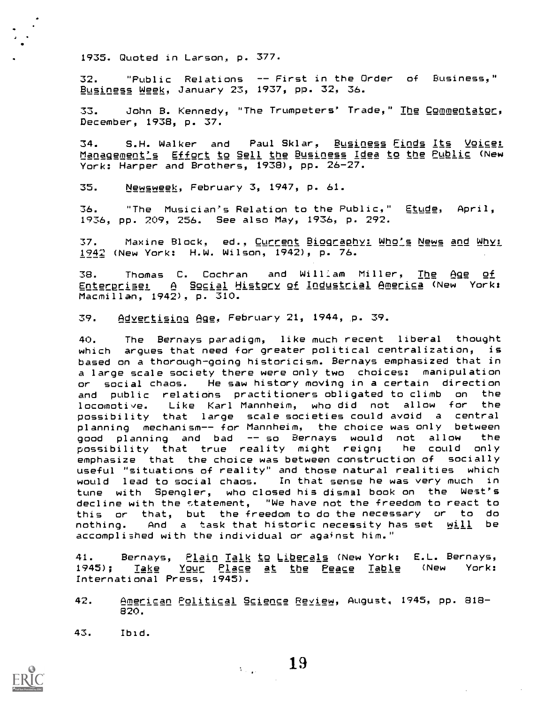1935. Quoted in Larson, p. 377.

32. "Public Relations -- First in the Order of Business," Business Week, January 23, 1937, pp. 32, 36.

33. John B. Kennedy, "The Trumpeters' Trade," The Commentator, December, 1938, p. 37.

34. S.H. Walker and Paul Sklar, Business Finds Its Voice: Management's Effort to Sell the Business Idea to the Public (New York: Harper and Brothers, 1938), pp. 26-27.

35. Newsweek, February 3, 1947, p. 61.

36. "The Musician's Relation to the Public," Etude, April, 1936, pp. 209, 256. See also May, 1936, p. 292.

37. Maxine Block, ed., Current Biography: Who's News and Why: 1942 (New York: H.W. Wilson, 1942), p. 76.

38. Thomas C. Cochran and William Miller, The Age of Enterprise: A Social History of Industrial America (New York: Macmillan, 1942), p. 310.

39. Advertising Age, February 21, 1944, p. 39.

40. The Bernays paradigm, like much recent liberal thought which argues that need for greater political centralization, is based on a thorough-going historicism. Bernays emphasized that in a large scale society there were only two choices: manipulation or social chaos. He saw history moving in a certain direction and public relations practitioners obligated to climb on the locomotive. Like Karl Mannheim, who did not allow for the possibility that large scale societies could avoid <sup>a</sup> central planning mechanism--- for Mannheim, the choice was only between<br>good planning and bad --- so Bernays would not allow the good planning and bad -- so Bernays would not allow the possibility that true reality might reign; he could only emphasize that the choice was between construction of socially useful "situations of reality" and those natural realities which would lead to social chaos. In that sense he was very much in tune with Spengler, who closed his dismal book on the West's decline with the statement, "We have not the freedom to react to this or that, but the freedom to do the necessary or to do nothing. And a task that historic necessity has set  $\frac{\omega i}{\omega i}$  be accomplished with the individual or against him."

41. Bernays, Plain Talk to Liberals (New York: E.L. Bernays, 1945); Take Your Place at the Peace Table (New York: International Press, 1945).

- 42. American Political Science Review, August, 1945, pp. 818- 820.
- 43. Ibid.



 $\sim$  19